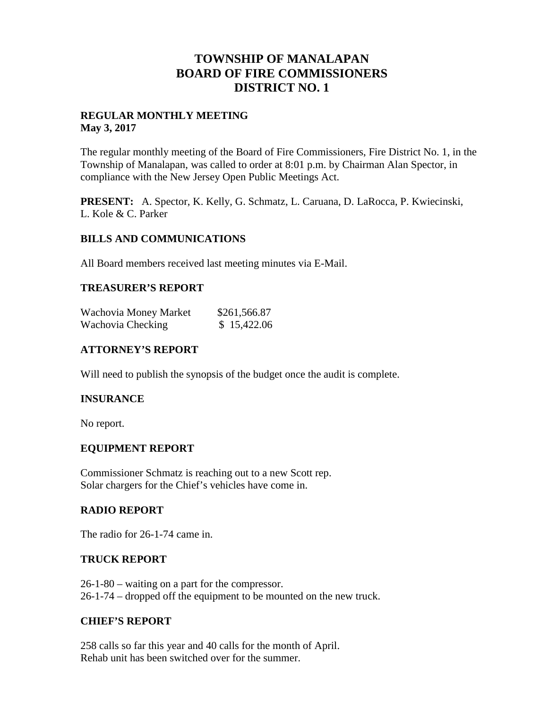## **TOWNSHIP OF MANALAPAN BOARD OF FIRE COMMISSIONERS DISTRICT NO. 1**

#### **REGULAR MONTHLY MEETING May 3, 2017**

The regular monthly meeting of the Board of Fire Commissioners, Fire District No. 1, in the Township of Manalapan, was called to order at 8:01 p.m. by Chairman Alan Spector, in compliance with the New Jersey Open Public Meetings Act.

**PRESENT:** A. Spector, K. Kelly, G. Schmatz, L. Caruana, D. LaRocca, P. Kwiecinski, L. Kole & C. Parker

#### **BILLS AND COMMUNICATIONS**

All Board members received last meeting minutes via E-Mail.

#### **TREASURER'S REPORT**

| Wachovia Money Market | \$261,566.87 |
|-----------------------|--------------|
| Wachovia Checking     | \$15,422.06  |

## **ATTORNEY'S REPORT**

Will need to publish the synopsis of the budget once the audit is complete.

#### **INSURANCE**

No report.

#### **EQUIPMENT REPORT**

Commissioner Schmatz is reaching out to a new Scott rep. Solar chargers for the Chief's vehicles have come in.

#### **RADIO REPORT**

The radio for 26-1-74 came in.

#### **TRUCK REPORT**

26-1-80 – waiting on a part for the compressor. 26-1-74 – dropped off the equipment to be mounted on the new truck.

#### **CHIEF'S REPORT**

258 calls so far this year and 40 calls for the month of April. Rehab unit has been switched over for the summer.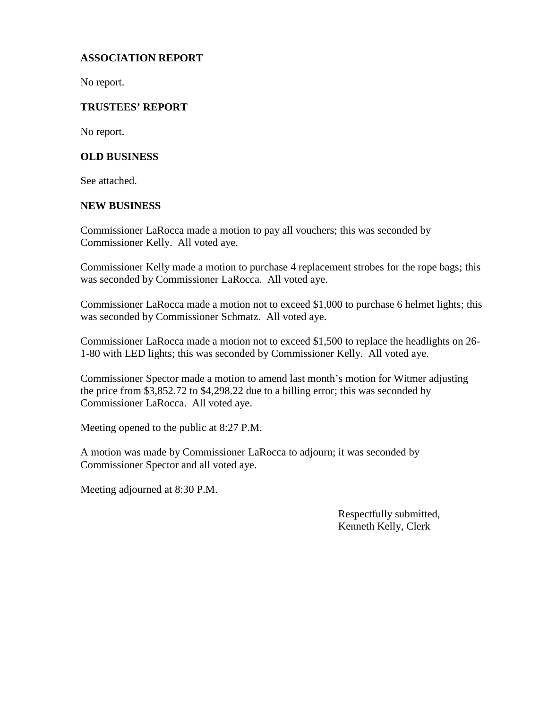## **ASSOCIATION REPORT**

No report.

## **TRUSTEES' REPORT**

No report.

#### **OLD BUSINESS**

See attached.

#### **NEW BUSINESS**

Commissioner LaRocca made a motion to pay all vouchers; this was seconded by Commissioner Kelly. All voted aye.

Commissioner Kelly made a motion to purchase 4 replacement strobes for the rope bags; this was seconded by Commissioner LaRocca. All voted aye.

Commissioner LaRocca made a motion not to exceed \$1,000 to purchase 6 helmet lights; this was seconded by Commissioner Schmatz. All voted aye.

Commissioner LaRocca made a motion not to exceed \$1,500 to replace the headlights on 26- 1-80 with LED lights; this was seconded by Commissioner Kelly. All voted aye.

Commissioner Spector made a motion to amend last month's motion for Witmer adjusting the price from \$3,852.72 to \$4,298.22 due to a billing error; this was seconded by Commissioner LaRocca. All voted aye.

Meeting opened to the public at 8:27 P.M.

A motion was made by Commissioner LaRocca to adjourn; it was seconded by Commissioner Spector and all voted aye.

Meeting adjourned at 8:30 P.M.

Respectfully submitted, Kenneth Kelly, Clerk